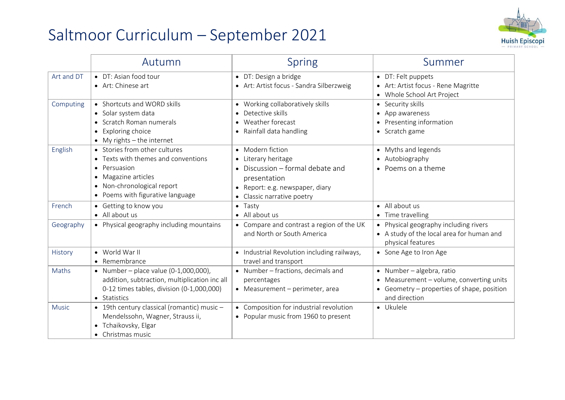## Saltmoor Curriculum – September 2021



|              | Autumn                                                                                                                                                                        | <b>Spring</b>                                                                                                                                                        | Summer                                                                                                                               |
|--------------|-------------------------------------------------------------------------------------------------------------------------------------------------------------------------------|----------------------------------------------------------------------------------------------------------------------------------------------------------------------|--------------------------------------------------------------------------------------------------------------------------------------|
| Art and DT   | • DT: Asian food tour<br>• Art: Chinese art                                                                                                                                   | • DT: Design a bridge<br>• Art: Artist focus - Sandra Silberzweig                                                                                                    | • DT: Felt puppets<br>• Art: Artist focus - Rene Magritte<br>• Whole School Art Project                                              |
| Computing    | • Shortcuts and WORD skills<br>• Solar system data<br>• Scratch Roman numerals<br>• Exploring choice<br>$\bullet$ My rights - the internet                                    | • Working collaboratively skills<br>Detective skills<br>Weather forecast<br>• Rainfall data handling                                                                 | • Security skills<br>• App awareness<br>• Presenting information<br>• Scratch game                                                   |
| English      | • Stories from other cultures<br>• Texts with themes and conventions<br>• Persuasion<br>• Magazine articles<br>• Non-chronological report<br>• Poems with figurative language | • Modern fiction<br>• Literary heritage<br>$\bullet$ Discussion – formal debate and<br>presentation<br>• Report: e.g. newspaper, diary<br>• Classic narrative poetry | • Myths and legends<br>• Autobiography<br>• Poems on a theme                                                                         |
| French       | • Getting to know you<br>• All about us                                                                                                                                       | $\bullet$ Tasty<br>• All about us                                                                                                                                    | • All about us<br>• Time travelling                                                                                                  |
| Geography    | • Physical geography including mountains                                                                                                                                      | • Compare and contrast a region of the UK<br>and North or South America                                                                                              | • Physical geography including rivers<br>• A study of the local area for human and<br>physical features                              |
| History      | • World War II<br>• Remembrance                                                                                                                                               | • Industrial Revolution including railways,<br>travel and transport                                                                                                  | • Sone Age to Iron Age                                                                                                               |
| Maths        | • Number – place value $(0-1,000,000)$ ,<br>addition, subtraction, multiplication inc all<br>0-12 times tables, division (0-1,000,000)<br>• Statistics                        | • Number - fractions, decimals and<br>percentages<br>• Measurement - perimeter, area                                                                                 | · Number - algebra, ratio<br>• Measurement - volume, converting units<br>• Geometry – properties of shape, position<br>and direction |
| <b>Music</b> | • 19th century classical (romantic) music -<br>Mendelssohn, Wagner, Strauss ii,<br>• Tchaikovsky, Elgar<br>• Christmas music                                                  | • Composition for industrial revolution<br>• Popular music from 1960 to present                                                                                      | • Ukulele                                                                                                                            |